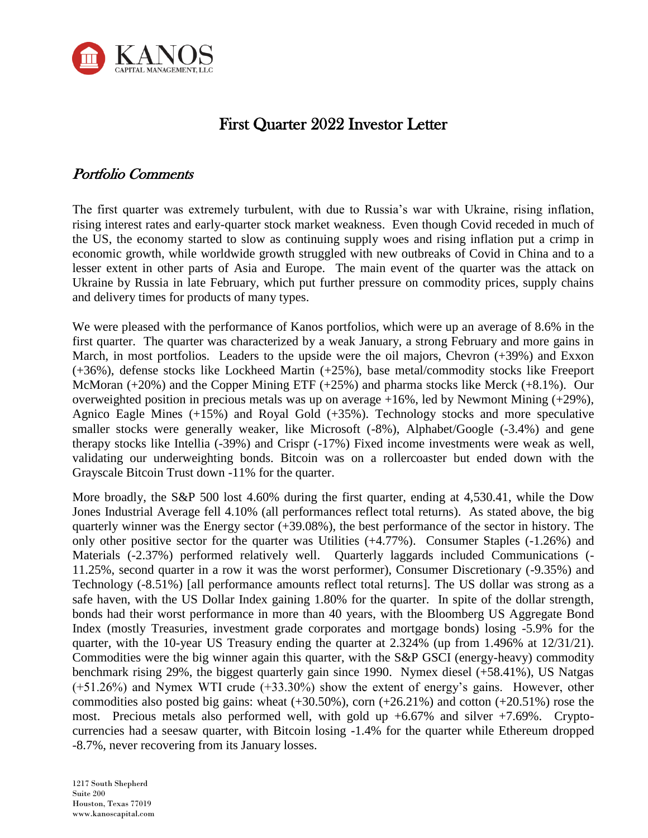

# First Quarter 2022 Investor Letter

# Portfolio Comments

The first quarter was extremely turbulent, with due to Russia's war with Ukraine, rising inflation, rising interest rates and early-quarter stock market weakness. Even though Covid receded in much of the US, the economy started to slow as continuing supply woes and rising inflation put a crimp in economic growth, while worldwide growth struggled with new outbreaks of Covid in China and to a lesser extent in other parts of Asia and Europe. The main event of the quarter was the attack on Ukraine by Russia in late February, which put further pressure on commodity prices, supply chains and delivery times for products of many types.

We were pleased with the performance of Kanos portfolios, which were up an average of 8.6% in the first quarter. The quarter was characterized by a weak January, a strong February and more gains in March, in most portfolios. Leaders to the upside were the oil majors, Chevron (+39%) and Exxon (+36%), defense stocks like Lockheed Martin (+25%), base metal/commodity stocks like Freeport McMoran (+20%) and the Copper Mining ETF (+25%) and pharma stocks like Merck (+8.1%). Our overweighted position in precious metals was up on average +16%, led by Newmont Mining (+29%), Agnico Eagle Mines (+15%) and Royal Gold (+35%). Technology stocks and more speculative smaller stocks were generally weaker, like Microsoft (-8%), Alphabet/Google (-3.4%) and gene therapy stocks like Intellia (-39%) and Crispr (-17%) Fixed income investments were weak as well, validating our underweighting bonds. Bitcoin was on a rollercoaster but ended down with the Grayscale Bitcoin Trust down -11% for the quarter.

More broadly, the S&P 500 lost 4.60% during the first quarter, ending at 4,530.41, while the Dow Jones Industrial Average fell 4.10% (all performances reflect total returns). As stated above, the big quarterly winner was the Energy sector (+39.08%), the best performance of the sector in history. The only other positive sector for the quarter was Utilities (+4.77%). Consumer Staples (-1.26%) and Materials (-2.37%) performed relatively well. Quarterly laggards included Communications (- 11.25%, second quarter in a row it was the worst performer), Consumer Discretionary (-9.35%) and Technology (-8.51%) [all performance amounts reflect total returns]. The US dollar was strong as a safe haven, with the US Dollar Index gaining 1.80% for the quarter. In spite of the dollar strength, bonds had their worst performance in more than 40 years, with the Bloomberg US Aggregate Bond Index (mostly Treasuries, investment grade corporates and mortgage bonds) losing -5.9% for the quarter, with the 10-year US Treasury ending the quarter at 2.324% (up from 1.496% at 12/31/21). Commodities were the big winner again this quarter, with the S&P GSCI (energy-heavy) commodity benchmark rising 29%, the biggest quarterly gain since 1990. Nymex diesel (+58.41%), US Natgas (+51.26%) and Nymex WTI crude (+33.30%) show the extent of energy's gains. However, other commodities also posted big gains: wheat  $(+30.50\%)$ , corn  $(+26.21\%)$  and cotton  $(+20.51\%)$  rose the most. Precious metals also performed well, with gold up  $+6.67\%$  and silver  $+7.69\%$ . Cryptocurrencies had a seesaw quarter, with Bitcoin losing -1.4% for the quarter while Ethereum dropped -8.7%, never recovering from its January losses.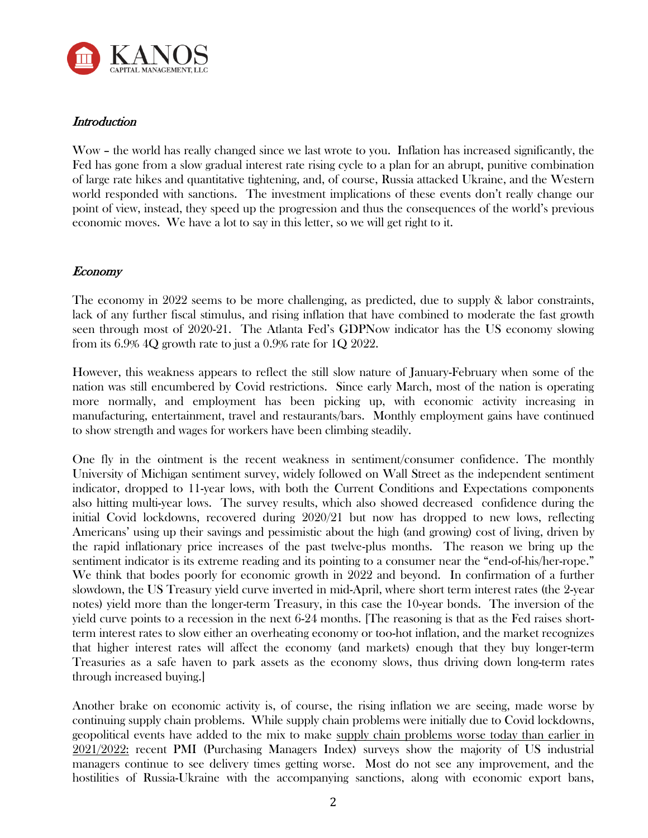

## **Introduction**

Wow – the world has really changed since we last wrote to you. Inflation has increased significantly, the Fed has gone from a slow gradual interest rate rising cycle to a plan for an abrupt, punitive combination of large rate hikes and quantitative tightening, and, of course, Russia attacked Ukraine, and the Western world responded with sanctions. The investment implications of these events don't really change our point of view, instead, they speed up the progression and thus the consequences of the world's previous economic moves. We have a lot to say in this letter, so we will get right to it.

## Economy

The economy in 2022 seems to be more challenging, as predicted, due to supply & labor constraints, lack of any further fiscal stimulus, and rising inflation that have combined to moderate the fast growth seen through most of 2020-21. The Atlanta Fed's GDPNow indicator has the US economy slowing from its 6.9% 4Q growth rate to just a 0.9% rate for 1Q 2022.

However, this weakness appears to reflect the still slow nature of January-February when some of the nation was still encumbered by Covid restrictions. Since early March, most of the nation is operating more normally, and employment has been picking up, with economic activity increasing in manufacturing, entertainment, travel and restaurants/bars. Monthly employment gains have continued to show strength and wages for workers have been climbing steadily.

One fly in the ointment is the recent weakness in sentiment/consumer confidence. The monthly University of Michigan sentiment survey, widely followed on Wall Street as the independent sentiment indicator, dropped to 11-year lows, with both the Current Conditions and Expectations components also hitting multi-year lows. The survey results, which also showed decreased confidence during the initial Covid lockdowns, recovered during 2020/21 but now has dropped to new lows, reflecting Americans' using up their savings and pessimistic about the high (and growing) cost of living, driven by the rapid inflationary price increases of the past twelve-plus months. The reason we bring up the sentiment indicator is its extreme reading and its pointing to a consumer near the "end-of-his/her-rope." We think that bodes poorly for economic growth in 2022 and beyond. In confirmation of a further slowdown, the US Treasury yield curve inverted in mid-April, where short term interest rates (the 2-year notes) yield more than the longer-term Treasury, in this case the 10-year bonds. The inversion of the yield curve points to a recession in the next 6-24 months. [The reasoning is that as the Fed raises shortterm interest rates to slow either an overheating economy or too-hot inflation, and the market recognizes that higher interest rates will affect the economy (and markets) enough that they buy longer-term Treasuries as a safe haven to park assets as the economy slows, thus driving down long-term rates through increased buying.]

Another brake on economic activity is, of course, the rising inflation we are seeing, made worse by continuing supply chain problems. While supply chain problems were initially due to Covid lockdowns, geopolitical events have added to the mix to make supply chain problems worse today than earlier in 2021/2022: recent PMI (Purchasing Managers Index) surveys show the majority of US industrial managers continue to see delivery times getting worse. Most do not see any improvement, and the hostilities of Russia-Ukraine with the accompanying sanctions, along with economic export bans,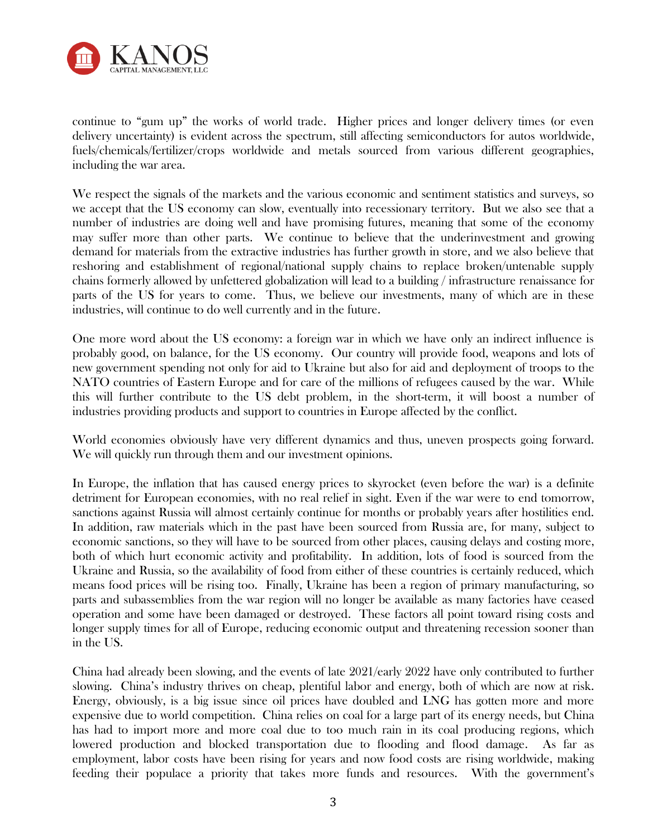

continue to "gum up" the works of world trade. Higher prices and longer delivery times (or even delivery uncertainty) is evident across the spectrum, still affecting semiconductors for autos worldwide, fuels/chemicals/fertilizer/crops worldwide and metals sourced from various different geographies, including the war area.

We respect the signals of the markets and the various economic and sentiment statistics and surveys, so we accept that the US economy can slow, eventually into recessionary territory. But we also see that a number of industries are doing well and have promising futures, meaning that some of the economy may suffer more than other parts. We continue to believe that the underinvestment and growing demand for materials from the extractive industries has further growth in store, and we also believe that reshoring and establishment of regional/national supply chains to replace broken/untenable supply chains formerly allowed by unfettered globalization will lead to a building / infrastructure renaissance for parts of the US for years to come. Thus, we believe our investments, many of which are in these industries, will continue to do well currently and in the future.

One more word about the US economy: a foreign war in which we have only an indirect influence is probably good, on balance, for the US economy. Our country will provide food, weapons and lots of new government spending not only for aid to Ukraine but also for aid and deployment of troops to the NATO countries of Eastern Europe and for care of the millions of refugees caused by the war. While this will further contribute to the US debt problem, in the short-term, it will boost a number of industries providing products and support to countries in Europe affected by the conflict.

World economies obviously have very different dynamics and thus, uneven prospects going forward. We will quickly run through them and our investment opinions.

In Europe, the inflation that has caused energy prices to skyrocket (even before the war) is a definite detriment for European economies, with no real relief in sight. Even if the war were to end tomorrow, sanctions against Russia will almost certainly continue for months or probably years after hostilities end. In addition, raw materials which in the past have been sourced from Russia are, for many, subject to economic sanctions, so they will have to be sourced from other places, causing delays and costing more, both of which hurt economic activity and profitability. In addition, lots of food is sourced from the Ukraine and Russia, so the availability of food from either of these countries is certainly reduced, which means food prices will be rising too. Finally, Ukraine has been a region of primary manufacturing, so parts and subassemblies from the war region will no longer be available as many factories have ceased operation and some have been damaged or destroyed. These factors all point toward rising costs and longer supply times for all of Europe, reducing economic output and threatening recession sooner than in the US.

China had already been slowing, and the events of late 2021/early 2022 have only contributed to further slowing. China's industry thrives on cheap, plentiful labor and energy, both of which are now at risk. Energy, obviously, is a big issue since oil prices have doubled and LNG has gotten more and more expensive due to world competition. China relies on coal for a large part of its energy needs, but China has had to import more and more coal due to too much rain in its coal producing regions, which lowered production and blocked transportation due to flooding and flood damage. As far as employment, labor costs have been rising for years and now food costs are rising worldwide, making feeding their populace a priority that takes more funds and resources. With the government's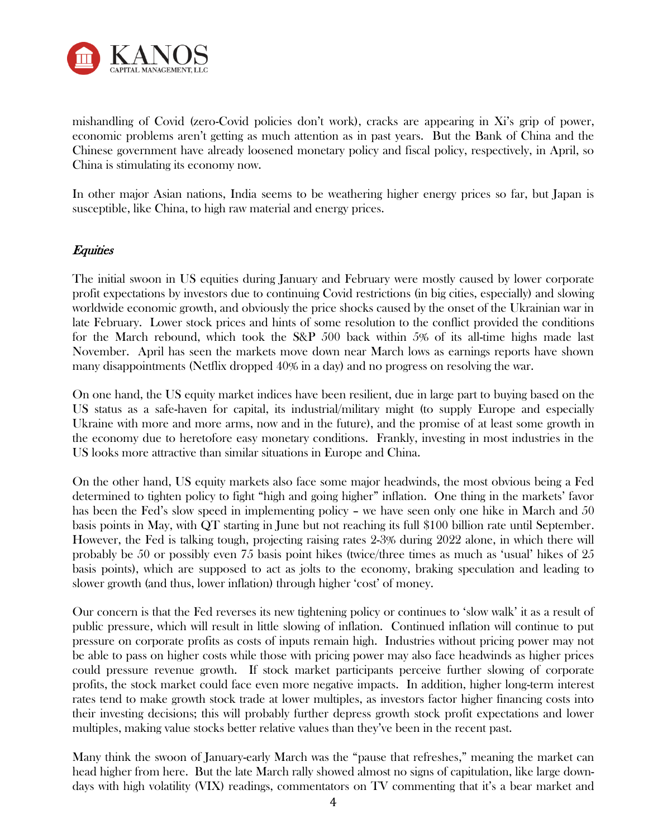

mishandling of Covid (zero-Covid policies don't work), cracks are appearing in Xi's grip of power, economic problems aren't getting as much attention as in past years. But the Bank of China and the Chinese government have already loosened monetary policy and fiscal policy, respectively, in April, so China is stimulating its economy now.

In other major Asian nations, India seems to be weathering higher energy prices so far, but Japan is susceptible, like China, to high raw material and energy prices.

## **Equities**

The initial swoon in US equities during January and February were mostly caused by lower corporate profit expectations by investors due to continuing Covid restrictions (in big cities, especially) and slowing worldwide economic growth, and obviously the price shocks caused by the onset of the Ukrainian war in late February. Lower stock prices and hints of some resolution to the conflict provided the conditions for the March rebound, which took the S&P 500 back within 5% of its all-time highs made last November. April has seen the markets move down near March lows as earnings reports have shown many disappointments (Netflix dropped 40% in a day) and no progress on resolving the war.

On one hand, the US equity market indices have been resilient, due in large part to buying based on the US status as a safe-haven for capital, its industrial/military might (to supply Europe and especially Ukraine with more and more arms, now and in the future), and the promise of at least some growth in the economy due to heretofore easy monetary conditions. Frankly, investing in most industries in the US looks more attractive than similar situations in Europe and China.

On the other hand, US equity markets also face some major headwinds, the most obvious being a Fed determined to tighten policy to fight "high and going higher" inflation. One thing in the markets' favor has been the Fed's slow speed in implementing policy – we have seen only one hike in March and 50 basis points in May, with QT starting in June but not reaching its full \$100 billion rate until September. However, the Fed is talking tough, projecting raising rates 2-3% during 2022 alone, in which there will probably be 50 or possibly even 75 basis point hikes (twice/three times as much as 'usual' hikes of 25 basis points), which are supposed to act as jolts to the economy, braking speculation and leading to slower growth (and thus, lower inflation) through higher 'cost' of money.

Our concern is that the Fed reverses its new tightening policy or continues to 'slow walk' it as a result of public pressure, which will result in little slowing of inflation. Continued inflation will continue to put pressure on corporate profits as costs of inputs remain high. Industries without pricing power may not be able to pass on higher costs while those with pricing power may also face headwinds as higher prices could pressure revenue growth. If stock market participants perceive further slowing of corporate profits, the stock market could face even more negative impacts. In addition, higher long-term interest rates tend to make growth stock trade at lower multiples, as investors factor higher financing costs into their investing decisions; this will probably further depress growth stock profit expectations and lower multiples, making value stocks better relative values than they've been in the recent past.

Many think the swoon of January-early March was the "pause that refreshes," meaning the market can head higher from here. But the late March rally showed almost no signs of capitulation, like large downdays with high volatility (VIX) readings, commentators on TV commenting that it's a bear market and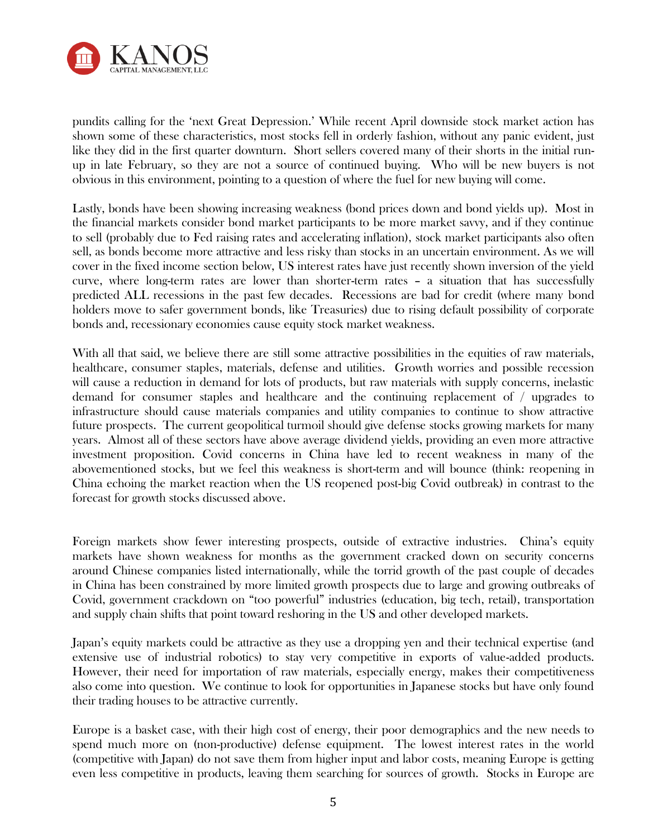

pundits calling for the 'next Great Depression.' While recent April downside stock market action has shown some of these characteristics, most stocks fell in orderly fashion, without any panic evident, just like they did in the first quarter downturn. Short sellers covered many of their shorts in the initial runup in late February, so they are not a source of continued buying. Who will be new buyers is not obvious in this environment, pointing to a question of where the fuel for new buying will come.

Lastly, bonds have been showing increasing weakness (bond prices down and bond yields up). Most in the financial markets consider bond market participants to be more market savvy, and if they continue to sell (probably due to Fed raising rates and accelerating inflation), stock market participants also often sell, as bonds become more attractive and less risky than stocks in an uncertain environment. As we will cover in the fixed income section below, US interest rates have just recently shown inversion of the yield curve, where long-term rates are lower than shorter-term rates – a situation that has successfully predicted ALL recessions in the past few decades. Recessions are bad for credit (where many bond holders move to safer government bonds, like Treasuries) due to rising default possibility of corporate bonds and, recessionary economies cause equity stock market weakness.

With all that said, we believe there are still some attractive possibilities in the equities of raw materials, healthcare, consumer staples, materials, defense and utilities. Growth worries and possible recession will cause a reduction in demand for lots of products, but raw materials with supply concerns, inelastic demand for consumer staples and healthcare and the continuing replacement of / upgrades to infrastructure should cause materials companies and utility companies to continue to show attractive future prospects. The current geopolitical turmoil should give defense stocks growing markets for many years. Almost all of these sectors have above average dividend yields, providing an even more attractive investment proposition. Covid concerns in China have led to recent weakness in many of the abovementioned stocks, but we feel this weakness is short-term and will bounce (think: reopening in China echoing the market reaction when the US reopened post-big Covid outbreak) in contrast to the forecast for growth stocks discussed above.

Foreign markets show fewer interesting prospects, outside of extractive industries. China's equity markets have shown weakness for months as the government cracked down on security concerns around Chinese companies listed internationally, while the torrid growth of the past couple of decades in China has been constrained by more limited growth prospects due to large and growing outbreaks of Covid, government crackdown on "too powerful" industries (education, big tech, retail), transportation and supply chain shifts that point toward reshoring in the US and other developed markets.

Japan's equity markets could be attractive as they use a dropping yen and their technical expertise (and extensive use of industrial robotics) to stay very competitive in exports of value-added products. However, their need for importation of raw materials, especially energy, makes their competitiveness also come into question. We continue to look for opportunities in Japanese stocks but have only found their trading houses to be attractive currently.

Europe is a basket case, with their high cost of energy, their poor demographics and the new needs to spend much more on (non-productive) defense equipment. The lowest interest rates in the world (competitive with Japan) do not save them from higher input and labor costs, meaning Europe is getting even less competitive in products, leaving them searching for sources of growth. Stocks in Europe are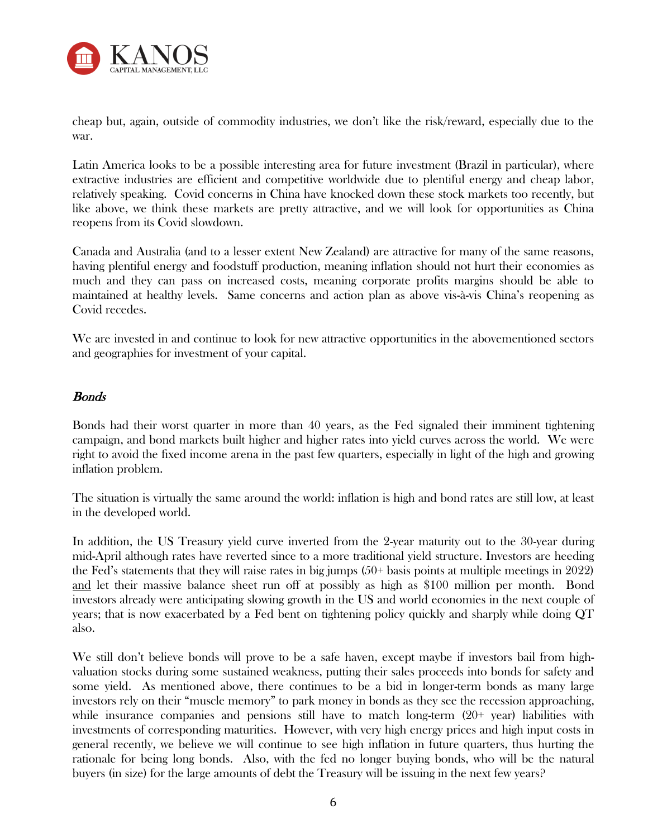

cheap but, again, outside of commodity industries, we don't like the risk/reward, especially due to the war.

Latin America looks to be a possible interesting area for future investment (Brazil in particular), where extractive industries are efficient and competitive worldwide due to plentiful energy and cheap labor, relatively speaking. Covid concerns in China have knocked down these stock markets too recently, but like above, we think these markets are pretty attractive, and we will look for opportunities as China reopens from its Covid slowdown.

Canada and Australia (and to a lesser extent New Zealand) are attractive for many of the same reasons, having plentiful energy and foodstuff production, meaning inflation should not hurt their economies as much and they can pass on increased costs, meaning corporate profits margins should be able to maintained at healthy levels. Same concerns and action plan as above vis-à-vis China's reopening as Covid recedes.

We are invested in and continue to look for new attractive opportunities in the abovementioned sectors and geographies for investment of your capital.

### Bonds

Bonds had their worst quarter in more than 40 years, as the Fed signaled their imminent tightening campaign, and bond markets built higher and higher rates into yield curves across the world. We were right to avoid the fixed income arena in the past few quarters, especially in light of the high and growing inflation problem.

The situation is virtually the same around the world: inflation is high and bond rates are still low, at least in the developed world.

In addition, the US Treasury yield curve inverted from the 2-year maturity out to the 30-year during mid-April although rates have reverted since to a more traditional yield structure. Investors are heeding the Fed's statements that they will raise rates in big jumps (50+ basis points at multiple meetings in 2022) and let their massive balance sheet run off at possibly as high as \$100 million per month. Bond investors already were anticipating slowing growth in the US and world economies in the next couple of years; that is now exacerbated by a Fed bent on tightening policy quickly and sharply while doing QT also.

We still don't believe bonds will prove to be a safe haven, except maybe if investors bail from highvaluation stocks during some sustained weakness, putting their sales proceeds into bonds for safety and some yield. As mentioned above, there continues to be a bid in longer-term bonds as many large investors rely on their "muscle memory" to park money in bonds as they see the recession approaching, while insurance companies and pensions still have to match long-term (20+ year) liabilities with investments of corresponding maturities. However, with very high energy prices and high input costs in general recently, we believe we will continue to see high inflation in future quarters, thus hurting the rationale for being long bonds. Also, with the fed no longer buying bonds, who will be the natural buyers (in size) for the large amounts of debt the Treasury will be issuing in the next few years?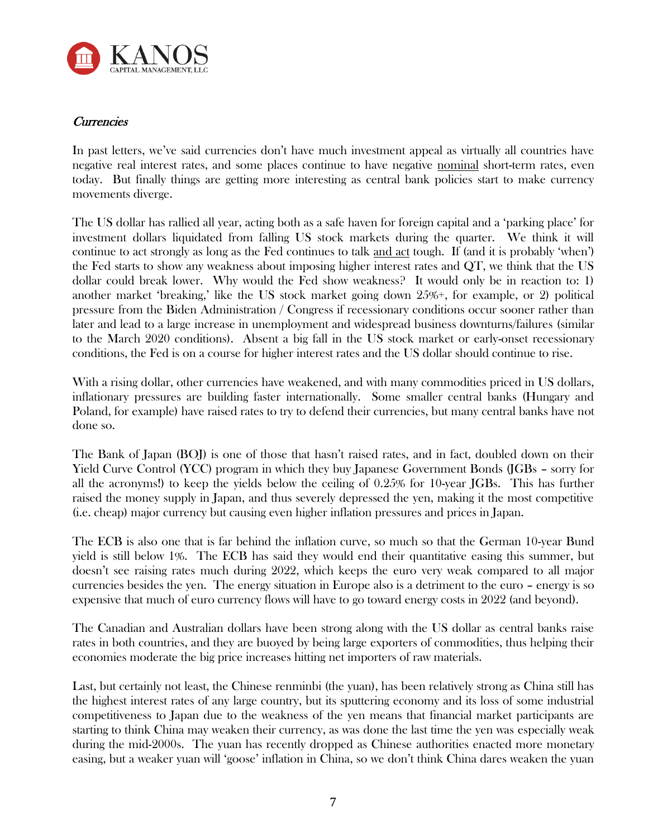

## **Currencies**

In past letters, we've said currencies don't have much investment appeal as virtually all countries have negative real interest rates, and some places continue to have negative nominal short-term rates, even today. But finally things are getting more interesting as central bank policies start to make currency movements diverge.

The US dollar has rallied all year, acting both as a safe haven for foreign capital and a 'parking place' for investment dollars liquidated from falling US stock markets during the quarter. We think it will continue to act strongly as long as the Fed continues to talk and act tough. If (and it is probably 'when') the Fed starts to show any weakness about imposing higher interest rates and QT, we think that the US dollar could break lower. Why would the Fed show weakness? It would only be in reaction to: 1) another market 'breaking,' like the US stock market going down 25%+, for example, or 2) political pressure from the Biden Administration / Congress if recessionary conditions occur sooner rather than later and lead to a large increase in unemployment and widespread business downturns/failures (similar to the March 2020 conditions). Absent a big fall in the US stock market or early-onset recessionary conditions, the Fed is on a course for higher interest rates and the US dollar should continue to rise.

With a rising dollar, other currencies have weakened, and with many commodities priced in US dollars, inflationary pressures are building faster internationally. Some smaller central banks (Hungary and Poland, for example) have raised rates to try to defend their currencies, but many central banks have not done so.

The Bank of Japan (BOJ) is one of those that hasn't raised rates, and in fact, doubled down on their Yield Curve Control (YCC) program in which they buy Japanese Government Bonds (JGBs - sorry for all the acronyms!) to keep the yields below the ceiling of 0.25% for 10-year JGBs. This has further raised the money supply in Japan, and thus severely depressed the yen, making it the most competitive (i.e. cheap) major currency but causing even higher inflation pressures and prices in Japan.

The ECB is also one that is far behind the inflation curve, so much so that the German 10-year Bund yield is still below 1%. The ECB has said they would end their quantitative easing this summer, but doesn't see raising rates much during 2022, which keeps the euro very weak compared to all major currencies besides the yen. The energy situation in Europe also is a detriment to the euro – energy is so expensive that much of euro currency flows will have to go toward energy costs in 2022 (and beyond).

The Canadian and Australian dollars have been strong along with the US dollar as central banks raise rates in both countries, and they are buoyed by being large exporters of commodities, thus helping their economies moderate the big price increases hitting net importers of raw materials.

Last, but certainly not least, the Chinese renminbi (the yuan), has been relatively strong as China still has the highest interest rates of any large country, but its sputtering economy and its loss of some industrial competitiveness to Japan due to the weakness of the yen means that financial market participants are starting to think China may weaken their currency, as was done the last time the yen was especially weak during the mid-2000s. The yuan has recently dropped as Chinese authorities enacted more monetary easing, but a weaker yuan will 'goose' inflation in China, so we don't think China dares weaken the yuan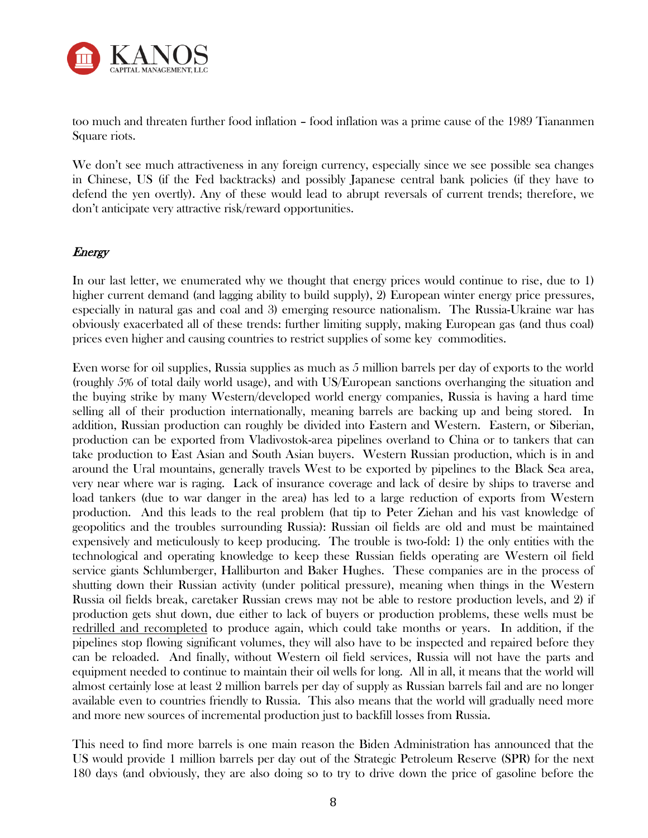

too much and threaten further food inflation – food inflation was a prime cause of the 1989 Tiananmen Square riots.

We don't see much attractiveness in any foreign currency, especially since we see possible sea changes in Chinese, US (if the Fed backtracks) and possibly Japanese central bank policies (if they have to defend the yen overtly). Any of these would lead to abrupt reversals of current trends; therefore, we don't anticipate very attractive risk/reward opportunities.

### **Energy**

In our last letter, we enumerated why we thought that energy prices would continue to rise, due to 1) higher current demand (and lagging ability to build supply), 2) European winter energy price pressures, especially in natural gas and coal and 3) emerging resource nationalism. The Russia-Ukraine war has obviously exacerbated all of these trends: further limiting supply, making European gas (and thus coal) prices even higher and causing countries to restrict supplies of some key commodities.

Even worse for oil supplies, Russia supplies as much as 5 million barrels per day of exports to the world (roughly 5% of total daily world usage), and with US/European sanctions overhanging the situation and the buying strike by many Western/developed world energy companies, Russia is having a hard time selling all of their production internationally, meaning barrels are backing up and being stored. In addition, Russian production can roughly be divided into Eastern and Western. Eastern, or Siberian, production can be exported from Vladivostok-area pipelines overland to China or to tankers that can take production to East Asian and South Asian buyers. Western Russian production, which is in and around the Ural mountains, generally travels West to be exported by pipelines to the Black Sea area, very near where war is raging. Lack of insurance coverage and lack of desire by ships to traverse and load tankers (due to war danger in the area) has led to a large reduction of exports from Western production. And this leads to the real problem (hat tip to Peter Ziehan and his vast knowledge of geopolitics and the troubles surrounding Russia): Russian oil fields are old and must be maintained expensively and meticulously to keep producing. The trouble is two-fold: 1) the only entities with the technological and operating knowledge to keep these Russian fields operating are Western oil field service giants Schlumberger, Halliburton and Baker Hughes. These companies are in the process of shutting down their Russian activity (under political pressure), meaning when things in the Western Russia oil fields break, caretaker Russian crews may not be able to restore production levels, and 2) if production gets shut down, due either to lack of buyers or production problems, these wells must be redrilled and recompleted to produce again, which could take months or years. In addition, if the pipelines stop flowing significant volumes, they will also have to be inspected and repaired before they can be reloaded. And finally, without Western oil field services, Russia will not have the parts and equipment needed to continue to maintain their oil wells for long. All in all, it means that the world will almost certainly lose at least 2 million barrels per day of supply as Russian barrels fail and are no longer available even to countries friendly to Russia. This also means that the world will gradually need more and more new sources of incremental production just to backfill losses from Russia.

This need to find more barrels is one main reason the Biden Administration has announced that the US would provide 1 million barrels per day out of the Strategic Petroleum Reserve (SPR) for the next 180 days (and obviously, they are also doing so to try to drive down the price of gasoline before the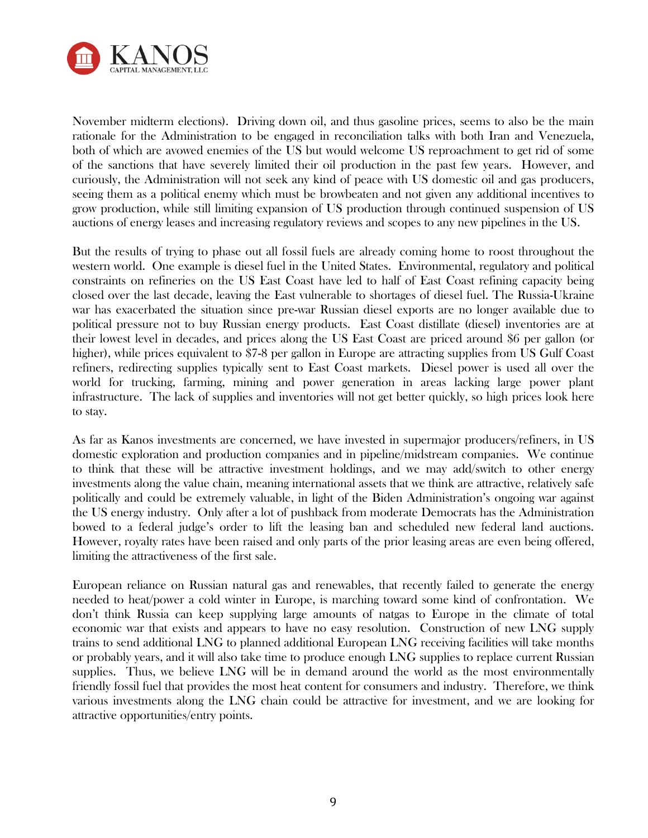

November midterm elections). Driving down oil, and thus gasoline prices, seems to also be the main rationale for the Administration to be engaged in reconciliation talks with both Iran and Venezuela, both of which are avowed enemies of the US but would welcome US reproachment to get rid of some of the sanctions that have severely limited their oil production in the past few years. However, and curiously, the Administration will not seek any kind of peace with US domestic oil and gas producers, seeing them as a political enemy which must be browbeaten and not given any additional incentives to grow production, while still limiting expansion of US production through continued suspension of US auctions of energy leases and increasing regulatory reviews and scopes to any new pipelines in the US.

But the results of trying to phase out all fossil fuels are already coming home to roost throughout the western world. One example is diesel fuel in the United States. Environmental, regulatory and political constraints on refineries on the US East Coast have led to half of East Coast refining capacity being closed over the last decade, leaving the East vulnerable to shortages of diesel fuel. The Russia-Ukraine war has exacerbated the situation since pre-war Russian diesel exports are no longer available due to political pressure not to buy Russian energy products. East Coast distillate (diesel) inventories are at their lowest level in decades, and prices along the US East Coast are priced around \$6 per gallon (or higher), while prices equivalent to \$7-8 per gallon in Europe are attracting supplies from US Gulf Coast refiners, redirecting supplies typically sent to East Coast markets. Diesel power is used all over the world for trucking, farming, mining and power generation in areas lacking large power plant infrastructure. The lack of supplies and inventories will not get better quickly, so high prices look here to stay.

As far as Kanos investments are concerned, we have invested in supermajor producers/refiners, in US domestic exploration and production companies and in pipeline/midstream companies. We continue to think that these will be attractive investment holdings, and we may add/switch to other energy investments along the value chain, meaning international assets that we think are attractive, relatively safe politically and could be extremely valuable, in light of the Biden Administration's ongoing war against the US energy industry. Only after a lot of pushback from moderate Democrats has the Administration bowed to a federal judge's order to lift the leasing ban and scheduled new federal land auctions. However, royalty rates have been raised and only parts of the prior leasing areas are even being offered, limiting the attractiveness of the first sale.

European reliance on Russian natural gas and renewables, that recently failed to generate the energy needed to heat/power a cold winter in Europe, is marching toward some kind of confrontation. We don't think Russia can keep supplying large amounts of natgas to Europe in the climate of total economic war that exists and appears to have no easy resolution. Construction of new LNG supply trains to send additional LNG to planned additional European LNG receiving facilities will take months or probably years, and it will also take time to produce enough LNG supplies to replace current Russian supplies. Thus, we believe LNG will be in demand around the world as the most environmentally friendly fossil fuel that provides the most heat content for consumers and industry. Therefore, we think various investments along the LNG chain could be attractive for investment, and we are looking for attractive opportunities/entry points.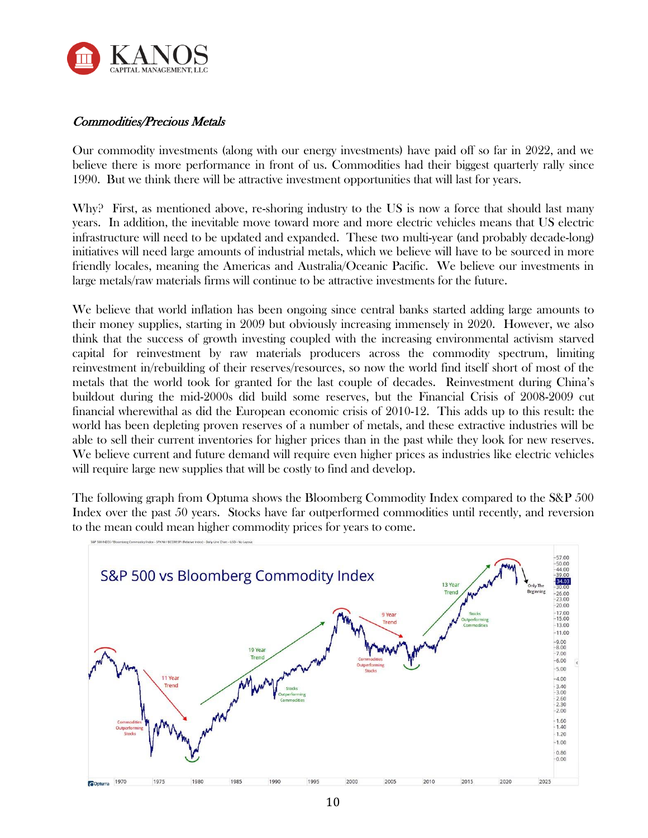

## Commodities/Precious Metals

Our commodity investments (along with our energy investments) have paid off so far in 2022, and we believe there is more performance in front of us. Commodities had their biggest quarterly rally since 1990. But we think there will be attractive investment opportunities that will last for years.

Why? First, as mentioned above, re-shoring industry to the US is now a force that should last many years. In addition, the inevitable move toward more and more electric vehicles means that US electric infrastructure will need to be updated and expanded. These two multi-year (and probably decade-long) initiatives will need large amounts of industrial metals, which we believe will have to be sourced in more friendly locales, meaning the Americas and Australia/Oceanic Pacific. We believe our investments in large metals/raw materials firms will continue to be attractive investments for the future.

We believe that world inflation has been ongoing since central banks started adding large amounts to their money supplies, starting in 2009 but obviously increasing immensely in 2020. However, we also think that the success of growth investing coupled with the increasing environmental activism starved capital for reinvestment by raw materials producers across the commodity spectrum, limiting reinvestment in/rebuilding of their reserves/resources, so now the world find itself short of most of the metals that the world took for granted for the last couple of decades. Reinvestment during China's buildout during the mid-2000s did build some reserves, but the Financial Crisis of 2008-2009 cut financial wherewithal as did the European economic crisis of 2010-12. This adds up to this result: the world has been depleting proven reserves of a number of metals, and these extractive industries will be able to sell their current inventories for higher prices than in the past while they look for new reserves. We believe current and future demand will require even higher prices as industries like electric vehicles will require large new supplies that will be costly to find and develop.

The following graph from Optuma shows the Bloomberg Commodity Index compared to the S&P 500 Index over the past 50 years. Stocks have far outperformed commodities until recently, and reversion to the mean could mean higher commodity prices for years to come.

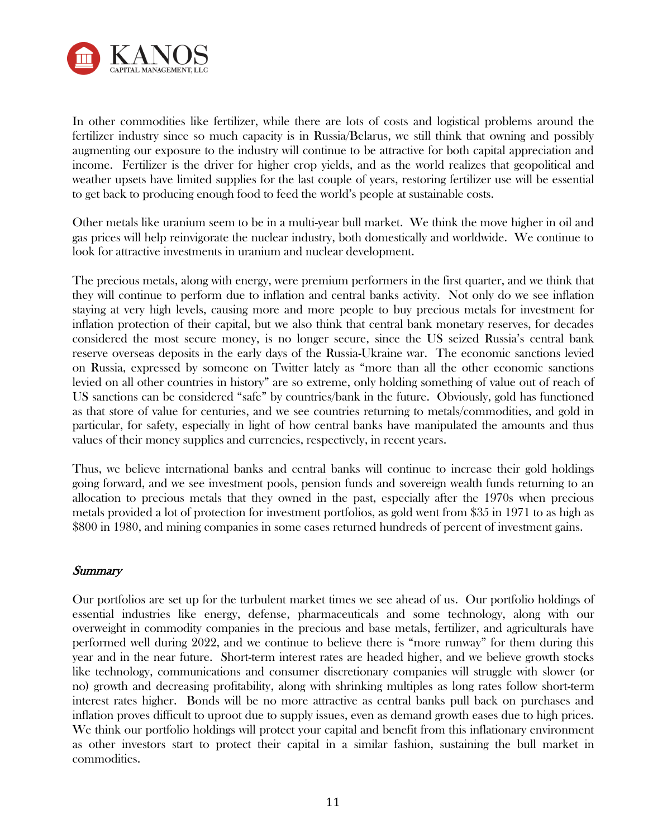

In other commodities like fertilizer, while there are lots of costs and logistical problems around the fertilizer industry since so much capacity is in Russia/Belarus, we still think that owning and possibly augmenting our exposure to the industry will continue to be attractive for both capital appreciation and income. Fertilizer is the driver for higher crop yields, and as the world realizes that geopolitical and weather upsets have limited supplies for the last couple of years, restoring fertilizer use will be essential to get back to producing enough food to feed the world's people at sustainable costs.

Other metals like uranium seem to be in a multi-year bull market. We think the move higher in oil and gas prices will help reinvigorate the nuclear industry, both domestically and worldwide. We continue to look for attractive investments in uranium and nuclear development.

The precious metals, along with energy, were premium performers in the first quarter, and we think that they will continue to perform due to inflation and central banks activity. Not only do we see inflation staying at very high levels, causing more and more people to buy precious metals for investment for inflation protection of their capital, but we also think that central bank monetary reserves, for decades considered the most secure money, is no longer secure, since the US seized Russia's central bank reserve overseas deposits in the early days of the Russia-Ukraine war. The economic sanctions levied on Russia, expressed by someone on Twitter lately as "more than all the other economic sanctions levied on all other countries in history" are so extreme, only holding something of value out of reach of US sanctions can be considered "safe" by countries/bank in the future. Obviously, gold has functioned as that store of value for centuries, and we see countries returning to metals/commodities, and gold in particular, for safety, especially in light of how central banks have manipulated the amounts and thus values of their money supplies and currencies, respectively, in recent years.

Thus, we believe international banks and central banks will continue to increase their gold holdings going forward, and we see investment pools, pension funds and sovereign wealth funds returning to an allocation to precious metals that they owned in the past, especially after the 1970s when precious metals provided a lot of protection for investment portfolios, as gold went from \$35 in 1971 to as high as \$800 in 1980, and mining companies in some cases returned hundreds of percent of investment gains.

### **Summary**

Our portfolios are set up for the turbulent market times we see ahead of us. Our portfolio holdings of essential industries like energy, defense, pharmaceuticals and some technology, along with our overweight in commodity companies in the precious and base metals, fertilizer, and agriculturals have performed well during 2022, and we continue to believe there is "more runway" for them during this year and in the near future. Short-term interest rates are headed higher, and we believe growth stocks like technology, communications and consumer discretionary companies will struggle with slower (or no) growth and decreasing profitability, along with shrinking multiples as long rates follow short-term interest rates higher. Bonds will be no more attractive as central banks pull back on purchases and inflation proves difficult to uproot due to supply issues, even as demand growth eases due to high prices. We think our portfolio holdings will protect your capital and benefit from this inflationary environment as other investors start to protect their capital in a similar fashion, sustaining the bull market in commodities.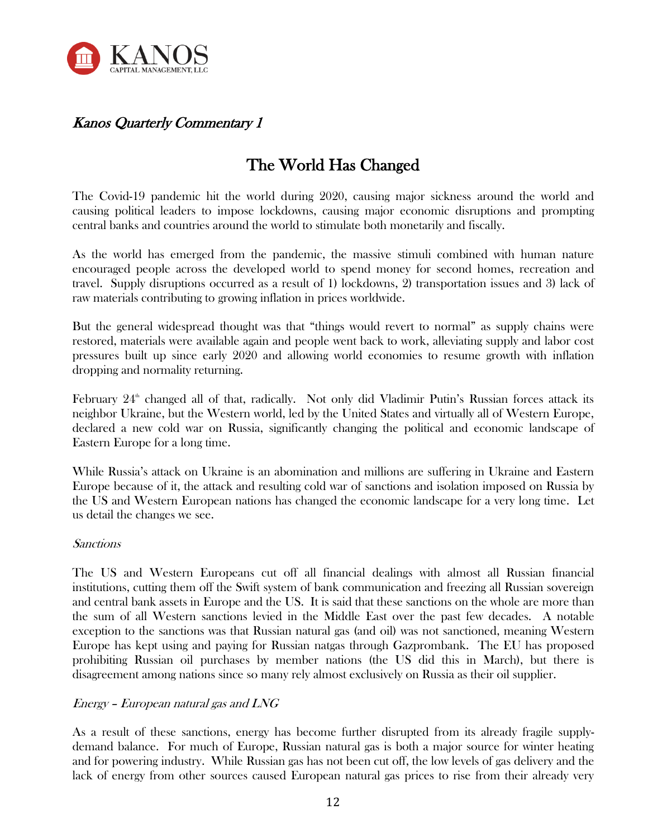

# Kanos Quarterly Commentary 1

# The World Has Changed

The Covid-19 pandemic hit the world during 2020, causing major sickness around the world and causing political leaders to impose lockdowns, causing major economic disruptions and prompting central banks and countries around the world to stimulate both monetarily and fiscally.

As the world has emerged from the pandemic, the massive stimuli combined with human nature encouraged people across the developed world to spend money for second homes, recreation and travel. Supply disruptions occurred as a result of 1) lockdowns, 2) transportation issues and 3) lack of raw materials contributing to growing inflation in prices worldwide.

But the general widespread thought was that "things would revert to normal" as supply chains were restored, materials were available again and people went back to work, alleviating supply and labor cost pressures built up since early 2020 and allowing world economies to resume growth with inflation dropping and normality returning.

February  $24^{\text{th}}$  changed all of that, radically. Not only did Vladimir Putin's Russian forces attack its neighbor Ukraine, but the Western world, led by the United States and virtually all of Western Europe, declared a new cold war on Russia, significantly changing the political and economic landscape of Eastern Europe for a long time.

While Russia's attack on Ukraine is an abomination and millions are suffering in Ukraine and Eastern Europe because of it, the attack and resulting cold war of sanctions and isolation imposed on Russia by the US and Western European nations has changed the economic landscape for a very long time. Let us detail the changes we see.

### Sanctions

The US and Western Europeans cut off all financial dealings with almost all Russian financial institutions, cutting them off the Swift system of bank communication and freezing all Russian sovereign and central bank assets in Europe and the US. It is said that these sanctions on the whole are more than the sum of all Western sanctions levied in the Middle East over the past few decades. A notable exception to the sanctions was that Russian natural gas (and oil) was not sanctioned, meaning Western Europe has kept using and paying for Russian natgas through Gazprombank. The EU has proposed prohibiting Russian oil purchases by member nations (the US did this in March), but there is disagreement among nations since so many rely almost exclusively on Russia as their oil supplier.

### Energy – European natural gas and LNG

As a result of these sanctions, energy has become further disrupted from its already fragile supplydemand balance. For much of Europe, Russian natural gas is both a major source for winter heating and for powering industry. While Russian gas has not been cut off, the low levels of gas delivery and the lack of energy from other sources caused European natural gas prices to rise from their already very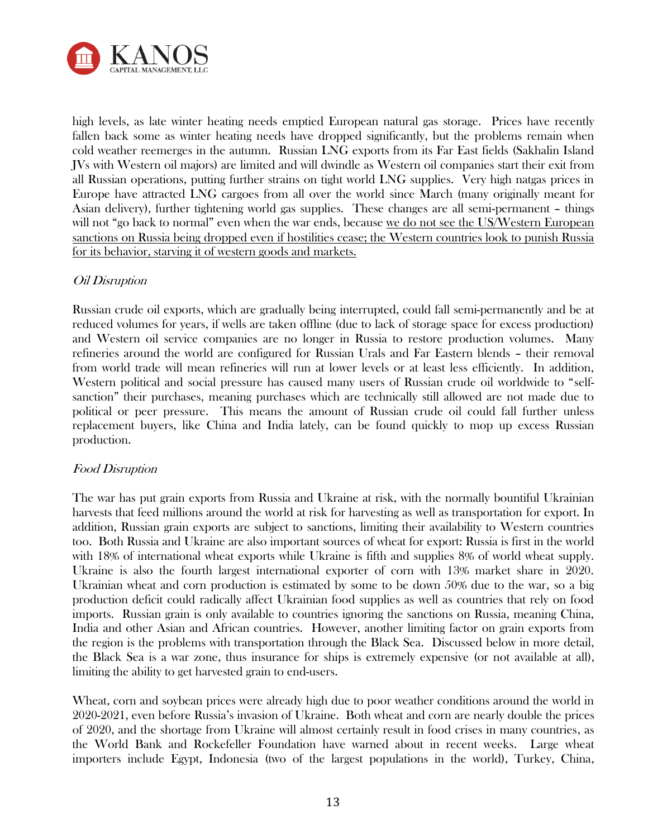

high levels, as late winter heating needs emptied European natural gas storage. Prices have recently fallen back some as winter heating needs have dropped significantly, but the problems remain when cold weather reemerges in the autumn. Russian LNG exports from its Far East fields (Sakhalin Island JVs with Western oil majors) are limited and will dwindle as Western oil companies start their exit from all Russian operations, putting further strains on tight world LNG supplies. Very high natgas prices in Europe have attracted LNG cargoes from all over the world since March (many originally meant for Asian delivery), further tightening world gas supplies. These changes are all semi-permanent – things will not "go back to normal" even when the war ends, because we do not see the US/Western European sanctions on Russia being dropped even if hostilities cease; the Western countries look to punish Russia for its behavior, starving it of western goods and markets.

### Oil Disruption

Russian crude oil exports, which are gradually being interrupted, could fall semi-permanently and be at reduced volumes for years, if wells are taken offline (due to lack of storage space for excess production) and Western oil service companies are no longer in Russia to restore production volumes. Many refineries around the world are configured for Russian Urals and Far Eastern blends – their removal from world trade will mean refineries will run at lower levels or at least less efficiently. In addition, Western political and social pressure has caused many users of Russian crude oil worldwide to "selfsanction" their purchases, meaning purchases which are technically still allowed are not made due to political or peer pressure. This means the amount of Russian crude oil could fall further unless replacement buyers, like China and India lately, can be found quickly to mop up excess Russian production.

### Food Disruption

The war has put grain exports from Russia and Ukraine at risk, with the normally bountiful Ukrainian harvests that feed millions around the world at risk for harvesting as well as transportation for export. In addition, Russian grain exports are subject to sanctions, limiting their availability to Western countries too. Both Russia and Ukraine are also important sources of wheat for export: Russia is first in the world with 18% of international wheat exports while Ukraine is fifth and supplies 8% of world wheat supply. Ukraine is also the fourth largest international exporter of corn with 13% market share in 2020. Ukrainian wheat and corn production is estimated by some to be down 50% due to the war, so a big production deficit could radically affect Ukrainian food supplies as well as countries that rely on food imports. Russian grain is only available to countries ignoring the sanctions on Russia, meaning China, India and other Asian and African countries. However, another limiting factor on grain exports from the region is the problems with transportation through the Black Sea. Discussed below in more detail, the Black Sea is a war zone, thus insurance for ships is extremely expensive (or not available at all), limiting the ability to get harvested grain to end-users.

Wheat, corn and soybean prices were already high due to poor weather conditions around the world in 2020-2021, even before Russia's invasion of Ukraine. Both wheat and corn are nearly double the prices of 2020, and the shortage from Ukraine will almost certainly result in food crises in many countries, as the World Bank and Rockefeller Foundation have warned about in recent weeks. Large wheat importers include Egypt, Indonesia (two of the largest populations in the world), Turkey, China,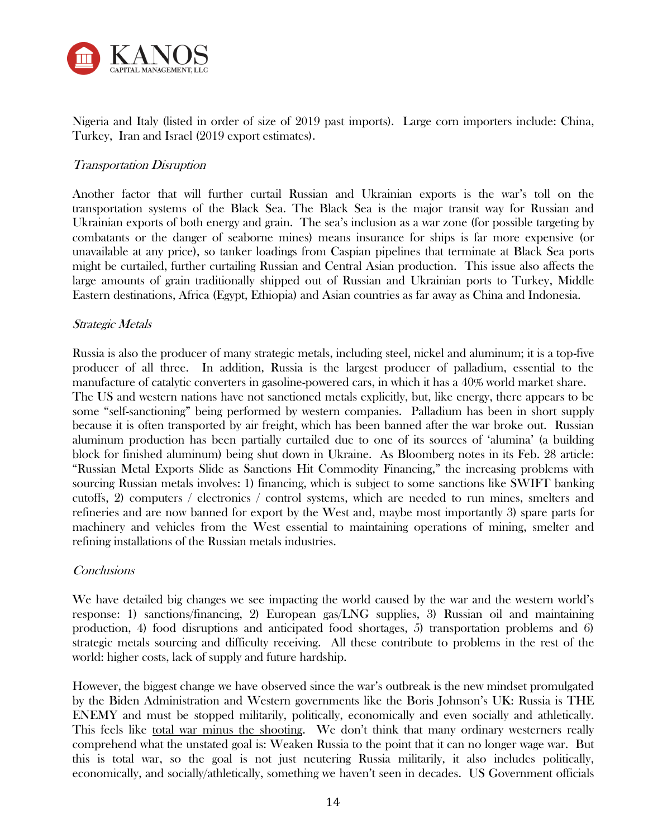

Nigeria and Italy (listed in order of size of 2019 past imports). Large corn importers include: China, Turkey, Iran and Israel (2019 export estimates).

### Transportation Disruption

Another factor that will further curtail Russian and Ukrainian exports is the war's toll on the transportation systems of the Black Sea. The Black Sea is the major transit way for Russian and Ukrainian exports of both energy and grain. The sea's inclusion as a war zone (for possible targeting by combatants or the danger of seaborne mines) means insurance for ships is far more expensive (or unavailable at any price), so tanker loadings from Caspian pipelines that terminate at Black Sea ports might be curtailed, further curtailing Russian and Central Asian production. This issue also affects the large amounts of grain traditionally shipped out of Russian and Ukrainian ports to Turkey, Middle Eastern destinations, Africa (Egypt, Ethiopia) and Asian countries as far away as China and Indonesia.

### Strategic Metals

Russia is also the producer of many strategic metals, including steel, nickel and aluminum; it is a top-five producer of all three. In addition, Russia is the largest producer of palladium, essential to the manufacture of catalytic converters in gasoline-powered cars, in which it has a 40% world market share. The US and western nations have not sanctioned metals explicitly, but, like energy, there appears to be some "self-sanctioning" being performed by western companies. Palladium has been in short supply because it is often transported by air freight, which has been banned after the war broke out. Russian aluminum production has been partially curtailed due to one of its sources of 'alumina' (a building block for finished aluminum) being shut down in Ukraine. As Bloomberg notes in its Feb. 28 article: "Russian Metal Exports Slide as Sanctions Hit Commodity Financing," the increasing problems with sourcing Russian metals involves: 1) financing, which is subject to some sanctions like SWIFT banking cutoffs, 2) computers / electronics / control systems, which are needed to run mines, smelters and refineries and are now banned for export by the West and, maybe most importantly 3) spare parts for machinery and vehicles from the West essential to maintaining operations of mining, smelter and refining installations of the Russian metals industries.

### **Conclusions**

We have detailed big changes we see impacting the world caused by the war and the western world's response: 1) sanctions/financing, 2) European gas/LNG supplies, 3) Russian oil and maintaining production, 4) food disruptions and anticipated food shortages, 5) transportation problems and 6) strategic metals sourcing and difficulty receiving. All these contribute to problems in the rest of the world: higher costs, lack of supply and future hardship.

However, the biggest change we have observed since the war's outbreak is the new mindset promulgated by the Biden Administration and Western governments like the Boris Johnson's UK: Russia is THE ENEMY and must be stopped militarily, politically, economically and even socially and athletically. This feels like total war minus the shooting. We don't think that many ordinary westerners really comprehend what the unstated goal is: Weaken Russia to the point that it can no longer wage war. But this is total war, so the goal is not just neutering Russia militarily, it also includes politically, economically, and socially/athletically, something we haven't seen in decades. US Government officials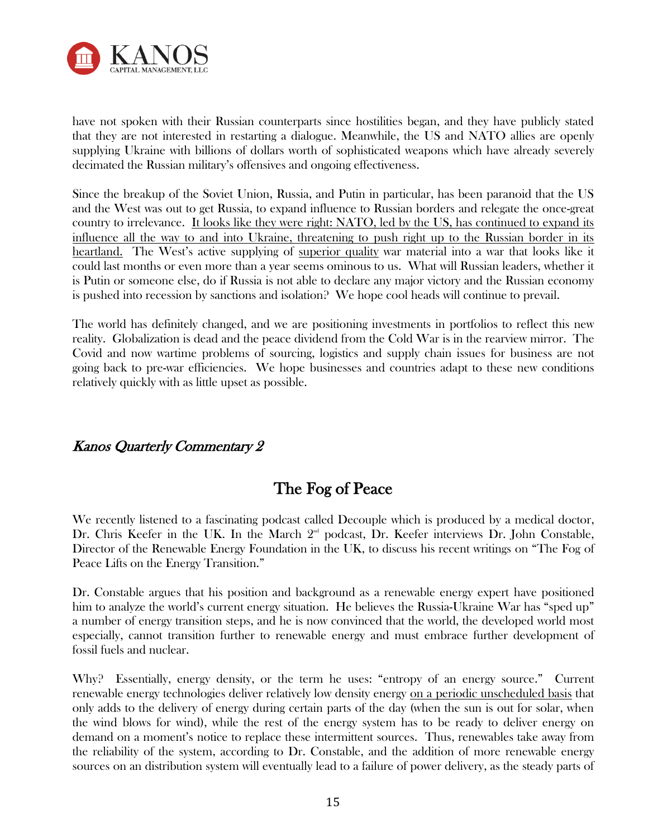

have not spoken with their Russian counterparts since hostilities began, and they have publicly stated that they are not interested in restarting a dialogue. Meanwhile, the US and NATO allies are openly supplying Ukraine with billions of dollars worth of sophisticated weapons which have already severely decimated the Russian military's offensives and ongoing effectiveness.

Since the breakup of the Soviet Union, Russia, and Putin in particular, has been paranoid that the US and the West was out to get Russia, to expand influence to Russian borders and relegate the once-great country to irrelevance. It looks like they were right: NATO, led by the US, has continued to expand its influence all the way to and into Ukraine, threatening to push right up to the Russian border in its heartland. The West's active supplying of superior quality war material into a war that looks like it could last months or even more than a year seems ominous to us. What will Russian leaders, whether it is Putin or someone else, do if Russia is not able to declare any major victory and the Russian economy is pushed into recession by sanctions and isolation? We hope cool heads will continue to prevail.

The world has definitely changed, and we are positioning investments in portfolios to reflect this new reality. Globalization is dead and the peace dividend from the Cold War is in the rearview mirror. The Covid and now wartime problems of sourcing, logistics and supply chain issues for business are not going back to pre-war efficiencies. We hope businesses and countries adapt to these new conditions relatively quickly with as little upset as possible.

# Kanos Quarterly Commentary 2

# The Fog of Peace

We recently listened to a fascinating podcast called Decouple which is produced by a medical doctor, Dr. Chris Keefer in the UK. In the March  $2<sup>nd</sup>$  podcast, Dr. Keefer interviews Dr. John Constable, Director of the Renewable Energy Foundation in the UK, to discuss his recent writings on "The Fog of Peace Lifts on the Energy Transition."

Dr. Constable argues that his position and background as a renewable energy expert have positioned him to analyze the world's current energy situation. He believes the Russia-Ukraine War has "sped up" a number of energy transition steps, and he is now convinced that the world, the developed world most especially, cannot transition further to renewable energy and must embrace further development of fossil fuels and nuclear.

Why? Essentially, energy density, or the term he uses: "entropy of an energy source." Current renewable energy technologies deliver relatively low density energy on a periodic unscheduled basis that only adds to the delivery of energy during certain parts of the day (when the sun is out for solar, when the wind blows for wind), while the rest of the energy system has to be ready to deliver energy on demand on a moment's notice to replace these intermittent sources. Thus, renewables take away from the reliability of the system, according to Dr. Constable, and the addition of more renewable energy sources on an distribution system will eventually lead to a failure of power delivery, as the steady parts of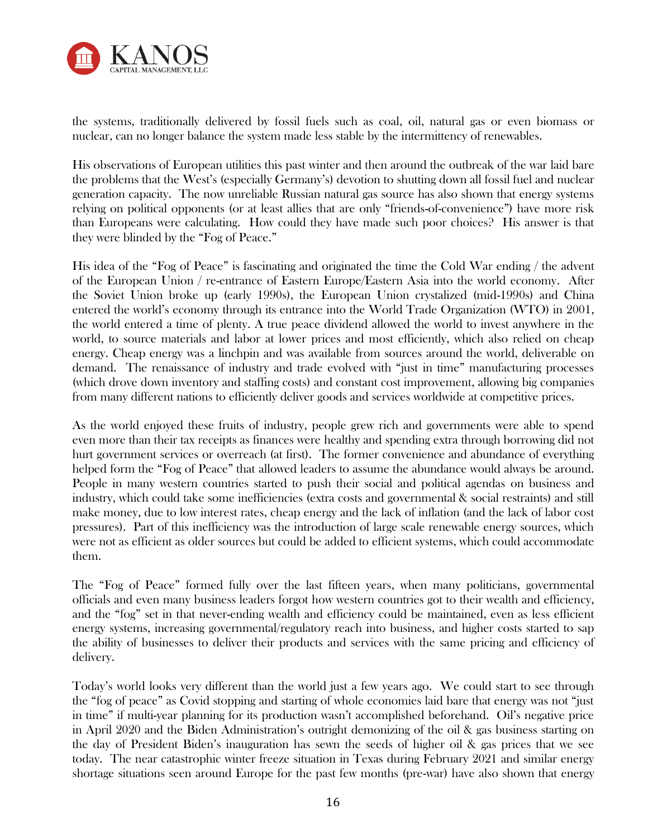

the systems, traditionally delivered by fossil fuels such as coal, oil, natural gas or even biomass or nuclear, can no longer balance the system made less stable by the intermittency of renewables.

His observations of European utilities this past winter and then around the outbreak of the war laid bare the problems that the West's (especially Germany's) devotion to shutting down all fossil fuel and nuclear generation capacity. The now unreliable Russian natural gas source has also shown that energy systems relying on political opponents (or at least allies that are only "friends-of-convenience") have more risk than Europeans were calculating. How could they have made such poor choices? His answer is that they were blinded by the "Fog of Peace."

His idea of the "Fog of Peace" is fascinating and originated the time the Cold War ending / the advent of the European Union / re-entrance of Eastern Europe/Eastern Asia into the world economy. After the Soviet Union broke up (early 1990s), the European Union crystalized (mid-1990s) and China entered the world's economy through its entrance into the World Trade Organization (WTO) in 2001, the world entered a time of plenty. A true peace dividend allowed the world to invest anywhere in the world, to source materials and labor at lower prices and most efficiently, which also relied on cheap energy. Cheap energy was a linchpin and was available from sources around the world, deliverable on demand. The renaissance of industry and trade evolved with "just in time" manufacturing processes (which drove down inventory and staffing costs) and constant cost improvement, allowing big companies from many different nations to efficiently deliver goods and services worldwide at competitive prices.

As the world enjoyed these fruits of industry, people grew rich and governments were able to spend even more than their tax receipts as finances were healthy and spending extra through borrowing did not hurt government services or overreach (at first). The former convenience and abundance of everything helped form the "Fog of Peace" that allowed leaders to assume the abundance would always be around. People in many western countries started to push their social and political agendas on business and industry, which could take some inefficiencies (extra costs and governmental & social restraints) and still make money, due to low interest rates, cheap energy and the lack of inflation (and the lack of labor cost pressures). Part of this inefficiency was the introduction of large scale renewable energy sources, which were not as efficient as older sources but could be added to efficient systems, which could accommodate them.

The "Fog of Peace" formed fully over the last fifteen years, when many politicians, governmental officials and even many business leaders forgot how western countries got to their wealth and efficiency, and the "fog" set in that never-ending wealth and efficiency could be maintained, even as less efficient energy systems, increasing governmental/regulatory reach into business, and higher costs started to sap the ability of businesses to deliver their products and services with the same pricing and efficiency of delivery.

Today's world looks very different than the world just a few years ago. We could start to see through the "fog of peace" as Covid stopping and starting of whole economies laid bare that energy was not "just in time" if multi-year planning for its production wasn't accomplished beforehand. Oil's negative price in April 2020 and the Biden Administration's outright demonizing of the oil & gas business starting on the day of President Biden's inauguration has sewn the seeds of higher oil & gas prices that we see today. The near catastrophic winter freeze situation in Texas during February 2021 and similar energy shortage situations seen around Europe for the past few months (pre-war) have also shown that energy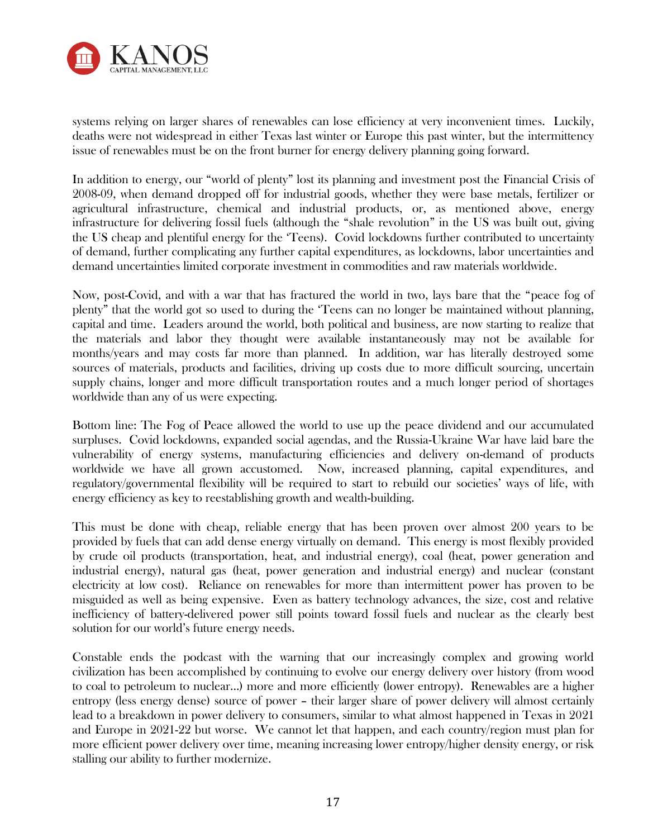

systems relying on larger shares of renewables can lose efficiency at very inconvenient times. Luckily, deaths were not widespread in either Texas last winter or Europe this past winter, but the intermittency issue of renewables must be on the front burner for energy delivery planning going forward.

In addition to energy, our "world of plenty" lost its planning and investment post the Financial Crisis of 2008-09, when demand dropped off for industrial goods, whether they were base metals, fertilizer or agricultural infrastructure, chemical and industrial products, or, as mentioned above, energy infrastructure for delivering fossil fuels (although the "shale revolution" in the US was built out, giving the US cheap and plentiful energy for the 'Teens). Covid lockdowns further contributed to uncertainty of demand, further complicating any further capital expenditures, as lockdowns, labor uncertainties and demand uncertainties limited corporate investment in commodities and raw materials worldwide.

Now, post-Covid, and with a war that has fractured the world in two, lays bare that the "peace fog of plenty" that the world got so used to during the 'Teens can no longer be maintained without planning, capital and time. Leaders around the world, both political and business, are now starting to realize that the materials and labor they thought were available instantaneously may not be available for months/years and may costs far more than planned. In addition, war has literally destroyed some sources of materials, products and facilities, driving up costs due to more difficult sourcing, uncertain supply chains, longer and more difficult transportation routes and a much longer period of shortages worldwide than any of us were expecting.

Bottom line: The Fog of Peace allowed the world to use up the peace dividend and our accumulated surpluses. Covid lockdowns, expanded social agendas, and the Russia-Ukraine War have laid bare the vulnerability of energy systems, manufacturing efficiencies and delivery on-demand of products worldwide we have all grown accustomed. Now, increased planning, capital expenditures, and regulatory/governmental flexibility will be required to start to rebuild our societies' ways of life, with energy efficiency as key to reestablishing growth and wealth-building.

This must be done with cheap, reliable energy that has been proven over almost 200 years to be provided by fuels that can add dense energy virtually on demand. This energy is most flexibly provided by crude oil products (transportation, heat, and industrial energy), coal (heat, power generation and industrial energy), natural gas (heat, power generation and industrial energy) and nuclear (constant electricity at low cost). Reliance on renewables for more than intermittent power has proven to be misguided as well as being expensive. Even as battery technology advances, the size, cost and relative inefficiency of battery-delivered power still points toward fossil fuels and nuclear as the clearly best solution for our world's future energy needs.

Constable ends the podcast with the warning that our increasingly complex and growing world civilization has been accomplished by continuing to evolve our energy delivery over history (from wood to coal to petroleum to nuclear...) more and more efficiently (lower entropy). Renewables are a higher entropy (less energy dense) source of power – their larger share of power delivery will almost certainly lead to a breakdown in power delivery to consumers, similar to what almost happened in Texas in 2021 and Europe in 2021-22 but worse. We cannot let that happen, and each country/region must plan for more efficient power delivery over time, meaning increasing lower entropy/higher density energy, or risk stalling our ability to further modernize.